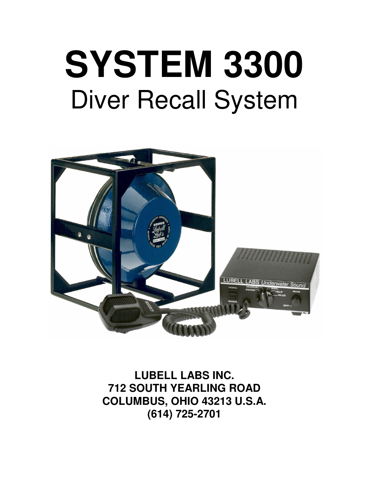# **SYSTEM 3300** Diver Recall System



**LUBELL LABS INC. 712 SOUTH YEARLING ROAD COLUMBUS, OHIO 43213 U.S.A. (614) 725-2701**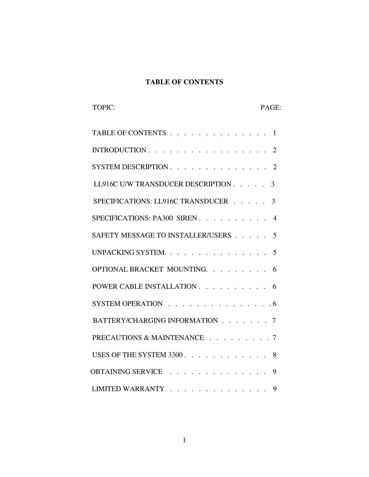## **TABLE OF CONTENTS**

TOPIC: PAGE:

| TABLE OF CONTENTS<br>1                                                                                                                           |
|--------------------------------------------------------------------------------------------------------------------------------------------------|
| INTRODUCTION<br>2                                                                                                                                |
| <b>SYSTEM DESCRIPTION.</b><br>$\overline{2}$<br>$\sim$ $\sim$<br>$\sim$ $\sim$ $\sim$ $\sim$<br>$\sim$ $\sim$ $\sim$ $\sim$ $\sim$ $\sim$ $\sim$ |
| LL916C U/W TRANSDUCER DESCRIPTION<br>3                                                                                                           |
| SPECIFICATIONS: LL916C TRANSDUCER<br>3                                                                                                           |
| SPECIFICATIONS: PA300 SIREN.<br>4<br>$\cdot$ $\cdot$ $\cdot$ $\cdot$                                                                             |
| SAFETY MESSAGE TO INSTALLER/USERS.<br>5                                                                                                          |
| UNPACKING SYSTEM.<br>5<br>$\sim$                                                                                                                 |
| OPTIONAL BRACKET MOUNTING. .<br>6                                                                                                                |
| POWER CABLE INSTALLATION<br>6                                                                                                                    |
| SYSTEM OPERATION $\ldots$ 6                                                                                                                      |
| BATTERY/CHARGING INFORMATION<br>7                                                                                                                |
| PRECAUTIONS & MAINTENANCE<br>7                                                                                                                   |
| USES OF THE SYSTEM 3300.<br>8                                                                                                                    |
| <b>OBTAINING SERVICE</b><br>9                                                                                                                    |
| LIMITED WARRANTY.<br>9<br>$\mathbf{r}$                                                                                                           |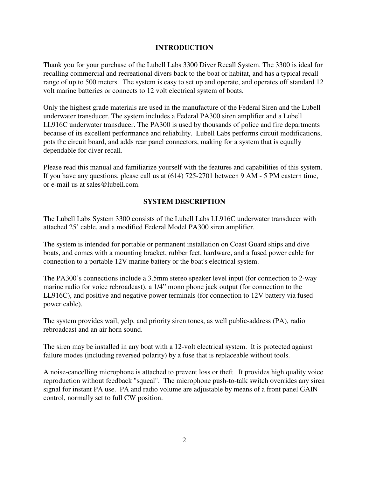#### **INTRODUCTION**

Thank you for your purchase of the Lubell Labs 3300 Diver Recall System. The 3300 is ideal for recalling commercial and recreational divers back to the boat or habitat, and has a typical recall range of up to 500 meters. The system is easy to set up and operate, and operates off standard 12 volt marine batteries or connects to 12 volt electrical system of boats.

Only the highest grade materials are used in the manufacture of the Federal Siren and the Lubell underwater transducer. The system includes a Federal PA300 siren amplifier and a Lubell LL916C underwater transducer. The PA300 is used by thousands of police and fire departments because of its excellent performance and reliability. Lubell Labs performs circuit modifications, pots the circuit board, and adds rear panel connectors, making for a system that is equally dependable for diver recall.

Please read this manual and familiarize yourself with the features and capabilities of this system. If you have any questions, please call us at (614) 725-2701 between 9 AM - 5 PM eastern time, or e-mail us at sales@lubell.com.

#### **SYSTEM DESCRIPTION**

The Lubell Labs System 3300 consists of the Lubell Labs LL916C underwater transducer with attached 25' cable, and a modified Federal Model PA300 siren amplifier.

The system is intended for portable or permanent installation on Coast Guard ships and dive boats, and comes with a mounting bracket, rubber feet, hardware, and a fused power cable for connection to a portable 12V marine battery or the boat's electrical system.

The PA300's connections include a 3.5mm stereo speaker level input (for connection to 2-way marine radio for voice rebroadcast), a 1/4" mono phone jack output (for connection to the LL916C), and positive and negative power terminals (for connection to 12V battery via fused power cable).

The system provides wail, yelp, and priority siren tones, as well public-address (PA), radio rebroadcast and an air horn sound.

The siren may be installed in any boat with a 12-volt electrical system. It is protected against failure modes (including reversed polarity) by a fuse that is replaceable without tools.

A noise-cancelling microphone is attached to prevent loss or theft. It provides high quality voice reproduction without feedback "squeal". The microphone push-to-talk switch overrides any siren signal for instant PA use. PA and radio volume are adjustable by means of a front panel GAIN control, normally set to full CW position.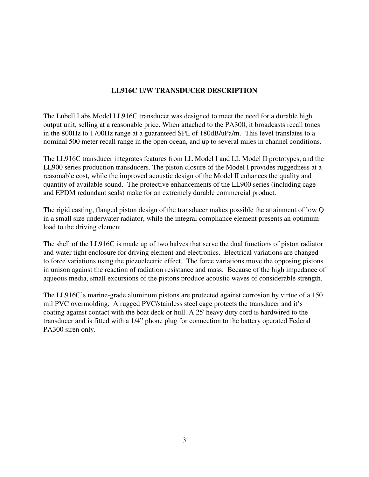## **LL916C U/W TRANSDUCER DESCRIPTION**

The Lubell Labs Model LL916C transducer was designed to meet the need for a durable high output unit, selling at a reasonable price. When attached to the PA300, it broadcasts recall tones in the 800Hz to 1700Hz range at a guaranteed SPL of 180dB/uPa/m. This level translates to a nominal 500 meter recall range in the open ocean, and up to several miles in channel conditions.

The LL916C transducer integrates features from LL Model I and LL Model II prototypes, and the LL900 series production transducers. The piston closure of the Model I provides ruggedness at a reasonable cost, while the improved acoustic design of the Model II enhances the quality and quantity of available sound. The protective enhancements of the LL900 series (including cage and EPDM redundant seals) make for an extremely durable commercial product.

The rigid casting, flanged piston design of the transducer makes possible the attainment of low Q in a small size underwater radiator, while the integral compliance element presents an optimum load to the driving element.

The shell of the LL916C is made up of two halves that serve the dual functions of piston radiator and water tight enclosure for driving element and electronics. Electrical variations are changed to force variations using the piezoelectric effect. The force variations move the opposing pistons in unison against the reaction of radiation resistance and mass. Because of the high impedance of aqueous media, small excursions of the pistons produce acoustic waves of considerable strength.

The LL916C's marine-grade aluminum pistons are protected against corrosion by virtue of a 150 mil PVC overmolding. A rugged PVC/stainless steel cage protects the transducer and it's coating against contact with the boat deck or hull. A 25' heavy duty cord is hardwired to the transducer and is fitted with a 1/4" phone plug for connection to the battery operated Federal PA300 siren only.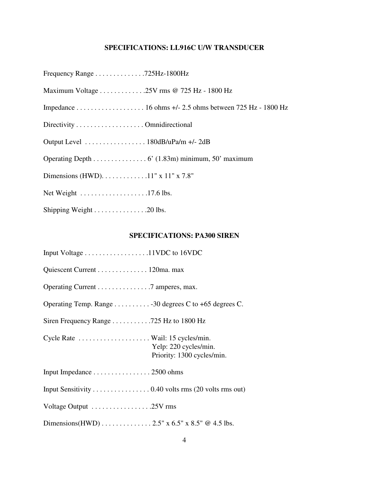# **SPECIFICATIONS: LL916C U/W TRANSDUCER**

| Frequency Range 725Hz-1800Hz                                           |
|------------------------------------------------------------------------|
| Maximum Voltage 25V rms @ 725 Hz - 1800 Hz                             |
|                                                                        |
| Directivity Omnidirectional                                            |
| Output Level $\dots \dots \dots \dots \dots \dots 180dB/uPa/m +1-2dB$  |
| Operating Depth 6' (1.83m) minimum, 50' maximum                        |
| Dimensions (HWD). $\dots \dots \dots \dots 11$ " x 11" x 7.8"          |
| Net Weight $\dots \dots \dots \dots \dots \dots \dots \dots 17.6$ lbs. |
| Shipping Weight 20 lbs.                                                |

# **SPECIFICATIONS: PA300 SIREN**

| Input Voltage 11VDC to 16VDC                                                            |
|-----------------------------------------------------------------------------------------|
| Quiescent Current 120ma. max                                                            |
| Operating Current 7 amperes, max.                                                       |
| Operating Temp. Range 30 degrees C to +65 degrees C.                                    |
| Siren Frequency Range $\dots \dots \dots \dots$ 725 Hz to 1800 Hz                       |
| Cycle Rate  Wail: 15 cycles/min.<br>Yelp: 220 cycles/min.<br>Priority: 1300 cycles/min. |
| Input Impedance 2500 ohms                                                               |
| Input Sensitivity 0.40 volts rms (20 volts rms out)                                     |
| Voltage Output 25V rms                                                                  |
| Dimensions (HWD) $\dots \dots \dots \dots \dots 2.5$ " x 6.5" x 8.5" @ 4.5 lbs.         |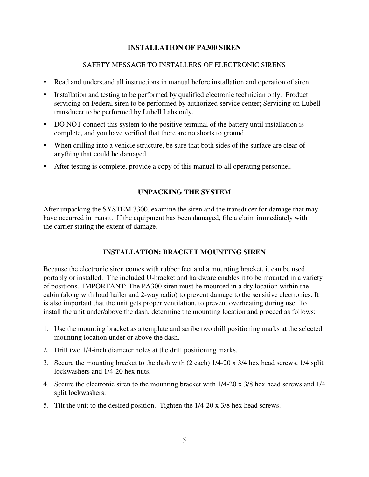#### **INSTALLATION OF PA300 SIREN**

#### SAFETY MESSAGE TO INSTALLERS OF ELECTRONIC SIRENS

- Read and understand all instructions in manual before installation and operation of siren.
- Installation and testing to be performed by qualified electronic technician only. Product servicing on Federal siren to be performed by authorized service center; Servicing on Lubell transducer to be performed by Lubell Labs only.
- DO NOT connect this system to the positive terminal of the battery until installation is complete, and you have verified that there are no shorts to ground.
- When drilling into a vehicle structure, be sure that both sides of the surface are clear of anything that could be damaged.
- After testing is complete, provide a copy of this manual to all operating personnel.

#### **UNPACKING THE SYSTEM**

After unpacking the SYSTEM 3300, examine the siren and the transducer for damage that may have occurred in transit. If the equipment has been damaged, file a claim immediately with the carrier stating the extent of damage.

### **INSTALLATION: BRACKET MOUNTING SIREN**

Because the electronic siren comes with rubber feet and a mounting bracket, it can be used portably or installed. The included U-bracket and hardware enables it to be mounted in a variety of positions. IMPORTANT: The PA300 siren must be mounted in a dry location within the cabin (along with loud hailer and 2-way radio) to prevent damage to the sensitive electronics. It is also important that the unit gets proper ventilation, to prevent overheating during use. To install the unit under/above the dash, determine the mounting location and proceed as follows:

- 1. Use the mounting bracket as a template and scribe two drill positioning marks at the selected mounting location under or above the dash.
- 2. Drill two 1/4-inch diameter holes at the drill positioning marks.
- 3. Secure the mounting bracket to the dash with (2 each) 1/4-20 x 3/4 hex head screws, 1/4 split lockwashers and 1/4-20 hex nuts.
- 4. Secure the electronic siren to the mounting bracket with 1/4-20 x 3/8 hex head screws and 1/4 split lockwashers.
- 5. Tilt the unit to the desired position. Tighten the 1/4-20 x 3/8 hex head screws.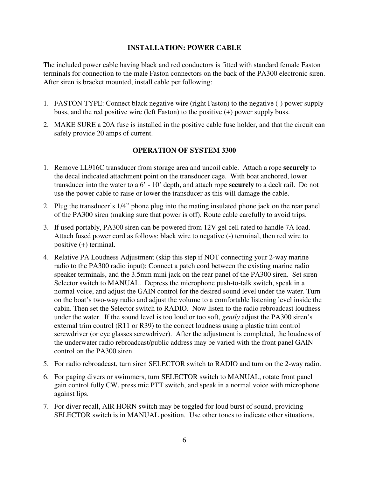#### **INSTALLATION: POWER CABLE**

The included power cable having black and red conductors is fitted with standard female Faston terminals for connection to the male Faston connectors on the back of the PA300 electronic siren. After siren is bracket mounted, install cable per following:

- 1. FASTON TYPE: Connect black negative wire (right Faston) to the negative (-) power supply buss, and the red positive wire (left Faston) to the positive (+) power supply buss.
- 2. MAKE SURE a 20A fuse is installed in the positive cable fuse holder, and that the circuit can safely provide 20 amps of current.

#### **OPERATION OF SYSTEM 3300**

- 1. Remove LL916C transducer from storage area and uncoil cable. Attach a rope **securely** to the decal indicated attachment point on the transducer cage. With boat anchored, lower transducer into the water to a 6' - 10' depth, and attach rope **securely** to a deck rail. Do not use the power cable to raise or lower the transducer as this will damage the cable.
- 2. Plug the transducer's 1/4" phone plug into the mating insulated phone jack on the rear panel of the PA300 siren (making sure that power is off). Route cable carefully to avoid trips.
- 3. If used portably, PA300 siren can be powered from 12V gel cell rated to handle 7A load. Attach fused power cord as follows: black wire to negative (-) terminal, then red wire to positive (+) terminal.
- 4. Relative PA Loudness Adjustment (skip this step if NOT connecting your 2-way marine radio to the PA300 radio input): Connect a patch cord between the existing marine radio speaker terminals, and the 3.5mm mini jack on the rear panel of the PA300 siren. Set siren Selector switch to MANUAL. Depress the microphone push-to-talk switch, speak in a normal voice, and adjust the GAIN control for the desired sound level under the water. Turn on the boat's two-way radio and adjust the volume to a comfortable listening level inside the cabin. Then set the Selector switch to RADIO. Now listen to the radio rebroadcast loudness under the water. If the sound level is too loud or too soft, *gently* adjust the PA300 siren's external trim control (R11 or R39) to the correct loudness using a plastic trim control screwdriver (or eye glasses screwdriver). After the adjustment is completed, the loudness of the underwater radio rebroadcast/public address may be varied with the front panel GAIN control on the PA300 siren.
- 5. For radio rebroadcast, turn siren SELECTOR switch to RADIO and turn on the 2-way radio.
- 6. For paging divers or swimmers, turn SELECTOR switch to MANUAL, rotate front panel gain control fully CW, press mic PTT switch, and speak in a normal voice with microphone against lips.
- 7. For diver recall, AIR HORN switch may be toggled for loud burst of sound, providing SELECTOR switch is in MANUAL position. Use other tones to indicate other situations.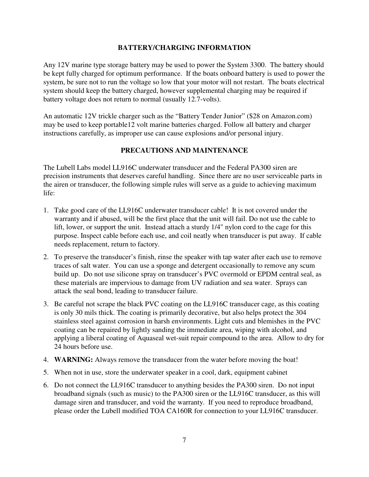#### **BATTERY/CHARGING INFORMATION**

Any 12V marine type storage battery may be used to power the System 3300. The battery should be kept fully charged for optimum performance. If the boats onboard battery is used to power the system, be sure not to run the voltage so low that your motor will not restart. The boats electrical system should keep the battery charged, however supplemental charging may be required if battery voltage does not return to normal (usually 12.7-volts).

An automatic 12V trickle charger such as the "Battery Tender Junior" (\$28 on Amazon.com) may be used to keep portable12 volt marine batteries charged. Follow all battery and charger instructions carefully, as improper use can cause explosions and/or personal injury.

#### **PRECAUTIONS AND MAINTENANCE**

The Lubell Labs model LL916C underwater transducer and the Federal PA300 siren are precision instruments that deserves careful handling. Since there are no user serviceable parts in the airen or transducer, the following simple rules will serve as a guide to achieving maximum life:

- 1. Take good care of the LL916C underwater transducer cable! It is not covered under the warranty and if abused, will be the first place that the unit will fail. Do not use the cable to lift, lower, or support the unit. Instead attach a sturdy 1/4" nylon cord to the cage for this purpose. Inspect cable before each use, and coil neatly when transducer is put away. If cable needs replacement, return to factory.
- 2. To preserve the transducer's finish, rinse the speaker with tap water after each use to remove traces of salt water. You can use a sponge and detergent occasionally to remove any scum build up. Do not use silicone spray on transducer's PVC overmold or EPDM central seal, as these materials are impervious to damage from UV radiation and sea water. Sprays can attack the seal bond, leading to transducer failure.
- 3. Be careful not scrape the black PVC coating on the LL916C transducer cage, as this coating is only 30 mils thick. The coating is primarily decorative, but also helps protect the 304 stainless steel against corrosion in harsh environments. Light cuts and blemishes in the PVC coating can be repaired by lightly sanding the immediate area, wiping with alcohol, and applying a liberal coating of Aquaseal wet-suit repair compound to the area. Allow to dry for 24 hours before use.
- 4. **WARNING:** Always remove the transducer from the water before moving the boat!
- 5. When not in use, store the underwater speaker in a cool, dark, equipment cabinet
- 6. Do not connect the LL916C transducer to anything besides the PA300 siren. Do not input broadband signals (such as music) to the PA300 siren or the LL916C transducer, as this will damage siren and transducer, and void the warranty. If you need to reproduce broadband, please order the Lubell modified TOA CA160R for connection to your LL916C transducer.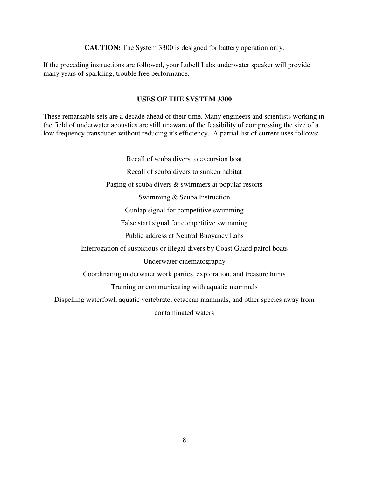**CAUTION:** The System 3300 is designed for battery operation only.

If the preceding instructions are followed, your Lubell Labs underwater speaker will provide many years of sparkling, trouble free performance.

#### **USES OF THE SYSTEM 3300**

These remarkable sets are a decade ahead of their time. Many engineers and scientists working in the field of underwater acoustics are still unaware of the feasibility of compressing the size of a low frequency transducer without reducing it's efficiency. A partial list of current uses follows:

Recall of scuba divers to excursion boat Recall of scuba divers to sunken habitat Paging of scuba divers & swimmers at popular resorts Swimming & Scuba Instruction Gunlap signal for competitive swimming False start signal for competitive swimming Public address at Neutral Buoyancy Labs Interrogation of suspicious or illegal divers by Coast Guard patrol boats Underwater cinematography Coordinating underwater work parties, exploration, and treasure hunts Training or communicating with aquatic mammals Dispelling waterfowl, aquatic vertebrate, cetacean mammals, and other species away from contaminated waters